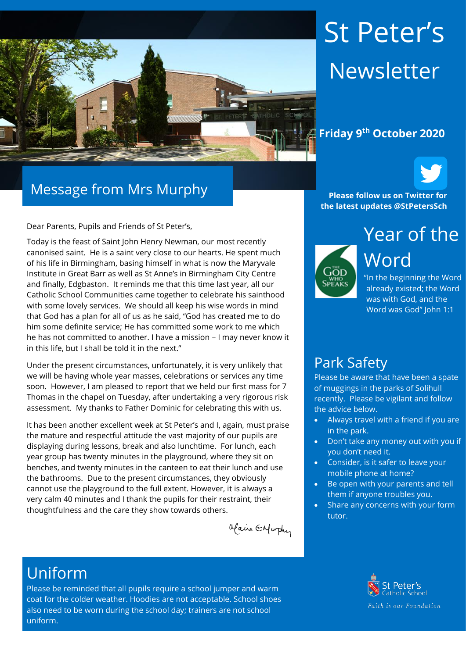

# St Peter's Newsletter



#### Message from Mrs Murphy

Dear Parents, Pupils and Friends of St Peter's,

Today is the feast of Saint John Henry Newman, our most recently canonised saint. He is a saint very close to our hearts. He spent much of his life in Birmingham, basing himself in what is now the Maryvale Institute in Great Barr as well as St Anne's in Birmingham City Centre and finally, Edgbaston. It reminds me that this time last year, all our Catholic School Communities came together to celebrate his sainthood with some lovely services. We should all keep his wise words in mind that God has a plan for all of us as he said, "God has created me to do him some definite service; He has committed some work to me which he has not committed to another. I have a mission – I may never know it in this life, but I shall be told it in the next."

Under the present circumstances, unfortunately, it is very unlikely that we will be having whole year masses, celebrations or services any time soon. However, I am pleased to report that we held our first mass for 7 Thomas in the chapel on Tuesday, after undertaking a very rigorous risk assessment. My thanks to Father Dominic for celebrating this with us.

It has been another excellent week at St Peter's and I, again, must praise the mature and respectful attitude the vast majority of our pupils are displaying during lessons, break and also lunchtime. For lunch, each year group has twenty minutes in the playground, where they sit on benches, and twenty minutes in the canteen to eat their lunch and use the bathrooms. Due to the present circumstances, they obviously cannot use the playground to the full extent. However, it is always a very calm 40 minutes and I thank the pupils for their restraint, their thoughtfulness and the care they show towards others.

Maine Enfurthy

# Year of the **the latest updates @StPetersSch**



**Please follow us on Twitter for** 

"In the beginning the Word already existed; the Word was with God, and the Word was God" John 1:1

#### Park Safety

Please be aware that have been a spate of muggings in the parks of Solihull recently. Please be vigilant and follow the advice below.

- Always travel with a friend if you are in the park.
- Don't take any money out with you if you don't need it.
- Consider, is it safer to leave your mobile phone at home?
- Be open with your parents and tell them if anyone troubles you.
- Share any concerns with your form tutor.

# Uniform

Please be reminded that all pupils require a school jumper and warm coat for the colder weather. Hoodies are not acceptable. School shoes also need to be worn during the school day; trainers are not school uniform.

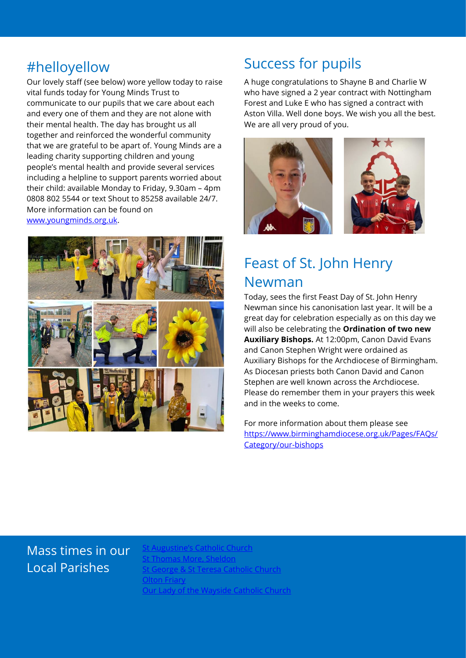Our lovely staff (see below) wore yellow today to raise vital funds today for Young Minds Trust to communicate to our pupils that we care about each and every one of them and they are not alone with their mental health. The day has brought us all together and reinforced the wonderful community that we are grateful to be apart of. Young Minds are a leading charity supporting children and young people's mental health and provide several services including a helpline to support parents worried about their child: available Monday to Friday, 9.30am – 4pm 0808 802 5544 or text Shout to 85258 available 24/7. More information can be found on [www.youngminds.org.uk.](http://www.youngminds.org.uk/)



# #helloyellow Success for pupils

A huge congratulations to Shayne B and Charlie W who have signed a 2 year contract with Nottingham Forest and Luke E who has signed a contract with Aston Villa. Well done boys. We wish you all the best. We are all very proud of you.



### Feast of St. John Henry Newman

Today, sees the first Feast Day of St. John Henry Newman since his canonisation last year. It will be a great day for celebration especially as on this day we will also be celebrating the **Ordination of two new Auxiliary Bishops.** At 12:00pm, Canon David Evans and Canon Stephen Wright were ordained as Auxiliary Bishops for the Archdiocese of Birmingham. As Diocesan priests both Canon David and Canon Stephen are well known across the Archdiocese. Please do remember them in your prayers this week and in the weeks to come.

For more information about them please see [https://www.birminghamdiocese.org.uk/Pages/FAQs/](https://protect-eu.mimecast.com/s/JEuWCZzG8i7GRmUzNWUO?domain=birminghamdiocese.org.uk) [Category/our-bishops](https://protect-eu.mimecast.com/s/JEuWCZzG8i7GRmUzNWUO?domain=birminghamdiocese.org.uk)

#### Mass times in our Local Parishes

It Augustine's Catholic Church <u>Thomas More, Sheldon</u> [St George & St Teresa Catholic Church](https://www.catholicchurch.dorridge.uk/) **[Olton Friary](https://www.oltonfriary.org.uk/)** [Our Lady of the Wayside Catholic Church](http://ourladyofthewaysidechurchshirley.co.uk/)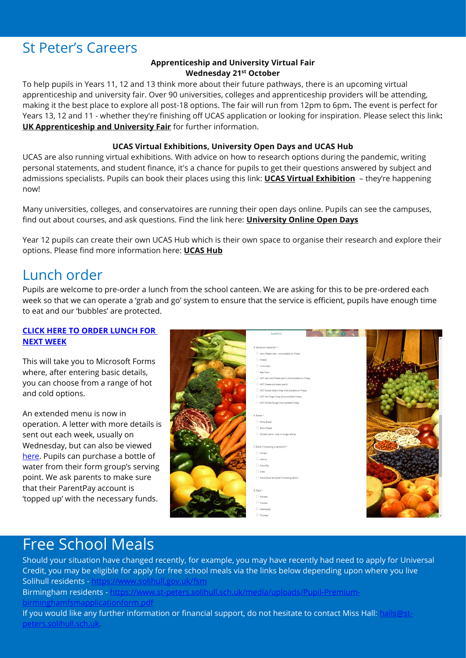#### St Peter's Careers

#### **Apprenticeship and University Virtual Fair Wednesday 21st October**

To help pupils in Years 11, 12 and 13 think more about their future pathways, there is an upcoming virtual apprenticeship and university fair. Over 90 universities, colleges and apprenticeship providers will be attending, making it the best place to explore all post-18 options. The fair will run from 12pm to 6pm**.** The event is perfect for Years 13, 12 and 11 - whether they're finishing off UCAS application or looking for inspiration. Please select this link**: [UK Apprenticeship and University Fair](mailto:https://us4.campaign-archive.com/?e=__test_email__&u=0131882646c9c37f1693f4cca&id=9360f01c8f)** for further information.

#### **UCAS Virtual Exhibitions, University Open Days and UCAS Hub**

UCAS are also running virtual exhibitions. With advice on how to research options during the pandemic, writing personal statements, and student finance, it's a chance for pupils to get their questions answered by subject and admissions specialists. Pupils can book their places using this link: **[UCAS Virtual Exhibition](https://protect-eu.mimecast.com/s/kEihCojnZfDZrptVIxYl?domain=click.email.ucas.com)** – they're happening now!

Many universities, colleges, and conservatoires are running their open days online. Pupils can see the campuses, find out about courses, and ask questions. Find the link here: **[University Online Open Days](https://www.ucas.com/ucas/events/find/type/open-day)**

Year 12 pupils can create their own UCAS Hub which is their own space to organise their research and explore their options. Please find more information here: **[UCAS Hub](https://www.ucas.com/what-are-my-options/create-your-ucas-hub-today)**

#### Lunch order

Pupils are welcome to pre-order a lunch from the school canteen. We are asking for this to be pre-ordered each week so that we can operate a 'grab and go' system to ensure that the service is efficient, pupils have enough time to eat and our 'bubbles' are protected.

#### **[CLICK HERE TO ORDER LUNCH FOR](https://forms.office.com/Pages/ResponsePage.aspx?id=WsZYFMHDIESQA-R2NHXE9sGWKd9gVAZLhvRethraXx5UOEtMNk1KSkoyNkJZNVM5TzdLN0ZMUUcwWS4u)  [NEXT WEEK](https://forms.office.com/Pages/ResponsePage.aspx?id=WsZYFMHDIESQA-R2NHXE9sGWKd9gVAZLhvRethraXx5UOEtMNk1KSkoyNkJZNVM5TzdLN0ZMUUcwWS4u)**

This will take you to Microsoft Forms where, after entering basic details, you can choose from a range of hot and cold options.

An extended menu is now in operation. A letter with more details is sent out each week, usually on Wednesday, but can also be viewed [here.](file://///file03/staff%20share/St%20Joseph/September%202020/Letters/August/Lunch%20Pre-order%20letter%20for%205th%20October%20-%209th%20October.pdf) Pupils can purchase a bottle of water from their form group's serving point. We ask parents to make sure that their ParentPay account is 'topped up' with the necessary funds.



#### Free School Meals

Should your situation have changed recently, for example, you may have recently had need to apply for Universal Credit, you may be eligible for apply for free school meals via the links below depending upon where you live Solihull residents -

Birmingham residents - [https://www.st-peters.solihull.sch.uk/media/uploads/Pupil-Premium](https://www.st-peters.solihull.sch.uk/media/uploads/Pupil-Premium-birminghamfsmapplicationform.pdf)[birminghamfsmapplicationform.pdf](https://www.st-peters.solihull.sch.uk/media/uploads/Pupil-Premium-birminghamfsmapplicationform.pdf)

If you would like any further information or financial support, do not hesitate to contact Miss Hall: [halls@st](mailto:halls@st-peters.solihull.sch.uk)[peters.solihull.sch.uk.](mailto:halls@st-peters.solihull.sch.uk)